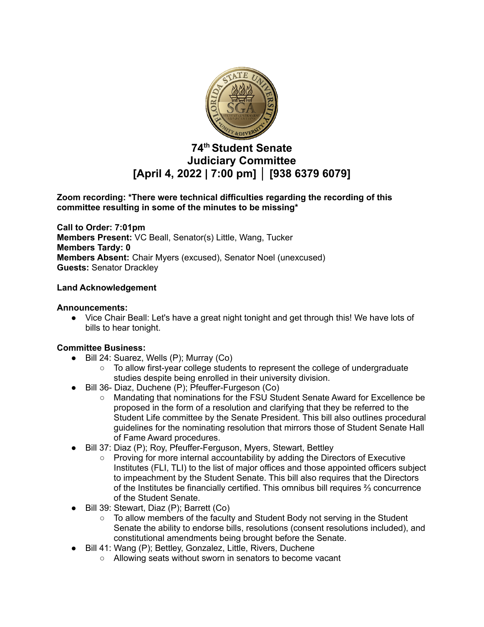

# **74 th Student Senate Judiciary Committee [April 4, 2022 | 7:00 pm] │ [938 6379 6079]**

## **Zoom recording: \*There were technical difficulties regarding the recording of this committee resulting in some of the minutes to be missing\***

**Call to Order: 7:01pm Members Present:** VC Beall, Senator(s) Little, Wang, Tucker **Members Tardy: 0 Members Absent:** Chair Myers (excused), Senator Noel (unexcused) **Guests:** Senator Drackley

## **Land Acknowledgement**

## **Announcements:**

● Vice Chair Beall: Let's have a great night tonight and get through this! We have lots of bills to hear tonight.

# **Committee Business:**

- Bill 24: Suarez, Wells (P); Murray (Co)
	- To allow first-year college students to represent the college of undergraduate studies despite being enrolled in their university division.
- Bill 36- Diaz, Duchene (P); Pfeuffer-Furgeson (Co)
	- Mandating that nominations for the FSU Student Senate Award for Excellence be proposed in the form of a resolution and clarifying that they be referred to the Student Life committee by the Senate President. This bill also outlines procedural guidelines for the nominating resolution that mirrors those of Student Senate Hall of Fame Award procedures.
- Bill 37: Diaz (P); Roy, Pfeuffer-Ferguson, Myers, Stewart, Bettley
	- Proving for more internal accountability by adding the Directors of Executive Institutes (FLI, TLI) to the list of major offices and those appointed officers subject to impeachment by the Student Senate. This bill also requires that the Directors of the Institutes be financially certified. This omnibus bill requires ⅔ concurrence of the Student Senate.
- Bill 39: Stewart, Diaz (P); Barrett (Co)
	- $\circ$  To allow members of the faculty and Student Body not serving in the Student Senate the ability to endorse bills, resolutions (consent resolutions included), and constitutional amendments being brought before the Senate.
- Bill 41: Wang (P); Bettley, Gonzalez, Little, Rivers, Duchene
	- Allowing seats without sworn in senators to become vacant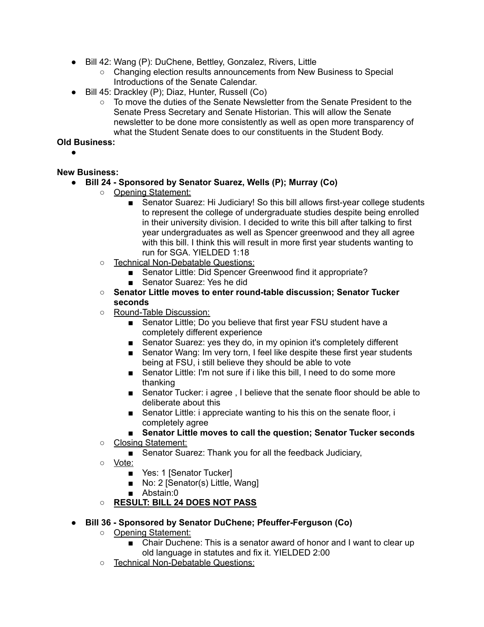- Bill 42: Wang (P): DuChene, Bettley, Gonzalez, Rivers, Little
	- Changing election results announcements from New Business to Special Introductions of the Senate Calendar.
- Bill 45: Drackley (P); Diaz, Hunter, Russell (Co)
	- To move the duties of the Senate Newsletter from the Senate President to the Senate Press Secretary and Senate Historian. This will allow the Senate newsletter to be done more consistently as well as open more transparency of what the Student Senate does to our constituents in the Student Body.

#### **Old Business:**

●

#### **New Business:**

- **Bill 24 - Sponsored by Senator Suarez, Wells (P); Murray (Co)**
	- Opening Statement:
		- Senator Suarez: Hi Judiciary! So this bill allows first-year college students to represent the college of undergraduate studies despite being enrolled in their university division. I decided to write this bill after talking to first year undergraduates as well as Spencer greenwood and they all agree with this bill. I think this will result in more first year students wanting to run for SGA. YIELDED 1:18
	- Technical Non-Debatable Questions:
		- Senator Little: Did Spencer Greenwood find it appropriate?
		- Senator Suarez: Yes he did
	- **○ Senator Little moves to enter round-table discussion; Senator Tucker seconds**
	- Round-Table Discussion:
		- Senator Little; Do you believe that first year FSU student have a completely different experience
		- Senator Suarez: yes they do, in my opinion it's completely different
		- Senator Wang: Im very torn, I feel like despite these first year students being at FSU, i still believe they should be able to vote
		- Senator Little: I'm not sure if i like this bill, I need to do some more thanking
		- Senator Tucker: i agree, I believe that the senate floor should be able to deliberate about this
		- Senator Little: i appreciate wanting to his this on the senate floor, i completely agree

## ■ **Senator Little moves to call the question; Senator Tucker seconds**

- Closing Statement:
	- Senator Suarez: Thank you for all the feedback Judiciary,
- Vote:
	- Yes: 1 [Senator Tucker]
	- No: 2 [Senator(s) Little, Wang]
	- Abstain:0

## **○ RESULT: BILL 24 DOES NOT PASS**

## ● **Bill 36 - Sponsored by Senator DuChene; Pfeuffer-Ferguson (Co)**

- Opening Statement:
	- Chair Duchene: This is a senator award of honor and I want to clear up old language in statutes and fix it. YIELDED 2:00
- Technical Non-Debatable Questions: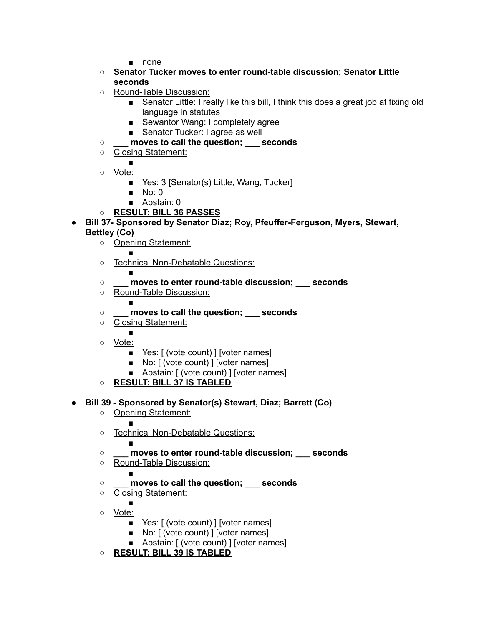- none
- **○ Senator Tucker moves to enter round-table discussion; Senator Little seconds**
- Round-Table Discussion:
	- Senator Little: I really like this bill, I think this does a great job at fixing old language in statutes
	- Sewantor Wang: I completely agree
	- Senator Tucker: I agree as well
- **○ \_\_\_ moves to call the question; \_\_\_ seconds**
- Closing Statement:
- ○ Vote:
	- Yes: 3 [Senator(s) Little, Wang, Tucker]
	- No: 0
	- Abstain: 0
- **○ RESULT: BILL 36 PASSES**
- **Bill 37- Sponsored by Senator Diaz; Roy, Pfeuffer-Ferguson, Myers, Stewart, Bettley (Co)**
	- Opening Statement:
		- ■
	- Technical Non-Debatable Questions:
		-
	- **○ \_\_\_ moves to enter round-table discussion; \_\_\_ seconds**
	- Round-Table Discussion:
		- ■
	- **○ \_\_\_ moves to call the question; \_\_\_ seconds**
	- Closing Statement:
	- ○ Vote:
		- Yes: [ (vote count) ] [voter names]
		- No: [ (vote count) ] [voter names]
		- Abstain: [ (vote count) ] [voter names]
	- **○ RESULT: BILL 37 IS TABLED**
- **Bill 39 - Sponsored by Senator(s) Stewart, Diaz; Barrett (Co)**
	- Opening Statement:
		- ■
	- Technical Non-Debatable Questions:
	- **○ \_\_\_ moves to enter round-table discussion; \_\_\_ seconds**
	- Round-Table Discussion:

■

- **○ \_\_\_ moves to call the question; \_\_\_ seconds**
- Closing Statement:
- ○ Vote:
	- Yes: [ (vote count) ] [voter names]
	- No: [ (vote count) ] [voter names]
	- Abstain: [ (vote count) ] [voter names]
- **○ RESULT: BILL 39 IS TABLED**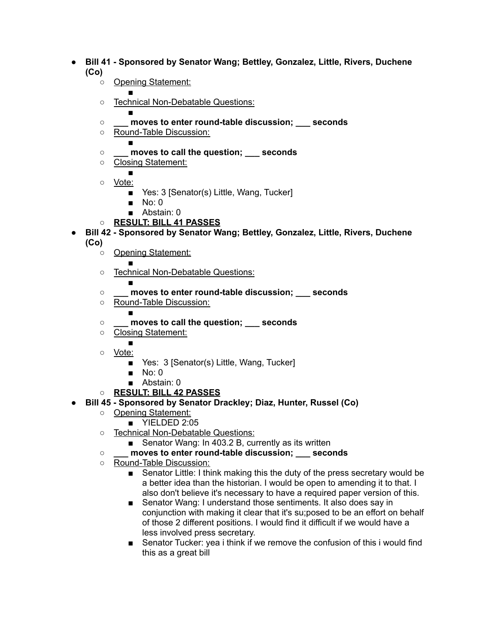- **Bill 41 - Sponsored by Senator Wang; Bettley, Gonzalez, Little, Rivers, Duchene (Co)**
	- Opening Statement:
	- ○ Technical Non-Debatable Questions:
	- **○ \_\_\_ moves to enter round-table discussion; \_\_\_ seconds**
	- Round-Table Discussion:
		-

■

- **○ \_\_\_ moves to call the question; \_\_\_ seconds**
- Closing Statement:

■

- Vote:
	- Yes: 3 [Senator(s) Little, Wang, Tucker]
	- No: 0
	- Abstain: 0
- **○ RESULT: BILL 41 PASSES**
- **Bill 42 - Sponsored by Senator Wang; Bettley, Gonzalez, Little, Rivers, Duchene**
	- **(Co)**
		- Opening Statement:
		- ○ Technical Non-Debatable Questions:

■

- **○ \_\_\_ moves to enter round-table discussion; \_\_\_ seconds**
- Round-Table Discussion:
	-
- **○ \_\_\_ moves to call the question; \_\_\_ seconds**
- Closing Statement:

■

- Vote:
	- Yes: 3 [Senator(s) Little, Wang, Tucker]
	- No: 0
	- Abstain: 0
- **○ RESULT: BILL 42 PASSES**
- **Bill 45 - Sponsored by Senator Drackley; Diaz, Hunter, Russel (Co)**
	- Opening Statement:
		- YIELDED 2:05
	- Technical Non-Debatable Questions:
		- Senator Wang: In 403.2 B, currently as its written
	- **○ \_\_\_ moves to enter round-table discussion; \_\_\_ seconds**
	- Round-Table Discussion:
		- Senator Little: I think making this the duty of the press secretary would be a better idea than the historian. I would be open to amending it to that. I also don't believe it's necessary to have a required paper version of this.
		- Senator Wang: I understand those sentiments. It also does say in conjunction with making it clear that it's su;posed to be an effort on behalf of those 2 different positions. I would find it difficult if we would have a less involved press secretary.
		- Senator Tucker: yea i think if we remove the confusion of this i would find this as a great bill